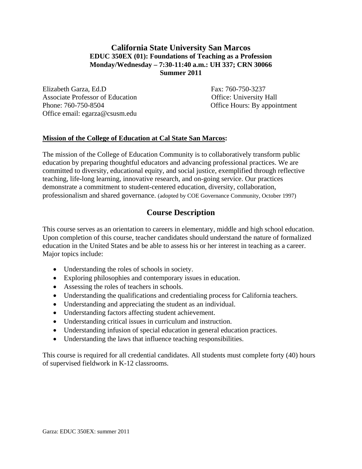# **California State University San Marcos EDUC 350EX (01): Foundations of Teaching as a Profession Monday/Wednesday – 7:30-11:40 a.m.: UH 337; CRN 30066 Summer 2011**

Elizabeth Garza, Ed.D Fax: 760-750-3237 Associate Professor of Education **Contact Contact Contact Contact Contact Contact Contact Contact Contact Contact Contact Contact Contact Contact Contact Contact Contact Contact Contact Contact Contact Contact Contact Cont** Phone: 760-750-8504 Office Hours: By appointment Office email: egarza@csusm.edu

# **Mission of the College of Education at Cal State San Marcos:**

The mission of the College of Education Community is to collaboratively transform public education by preparing thoughtful educators and advancing professional practices. We are committed to diversity, educational equity, and social justice, exemplified through reflective teaching, life-long learning, innovative research, and on-going service. Our practices demonstrate a commitment to student-centered education, diversity, collaboration, professionalism and shared governance. (adopted by COE Governance Community, October 1997)

# **Course Description**

This course serves as an orientation to careers in elementary, middle and high school education. Upon completion of this course, teacher candidates should understand the nature of formalized education in the United States and be able to assess his or her interest in teaching as a career. Major topics include:

- Understanding the roles of schools in society.
- Exploring philosophies and contemporary issues in education.
- Assessing the roles of teachers in schools.
- Understanding the qualifications and credentialing process for California teachers.
- Understanding and appreciating the student as an individual.
- Understanding factors affecting student achievement.
- Understanding critical issues in curriculum and instruction.
- Understanding infusion of special education in general education practices.
- Understanding the laws that influence teaching responsibilities.

This course is required for all credential candidates. All students must complete forty (40) hours of supervised fieldwork in K-12 classrooms.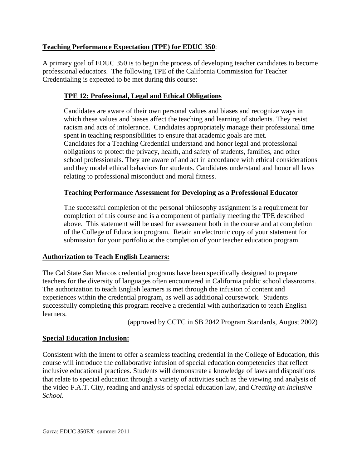# **Teaching Performance Expectation (TPE) for EDUC 350**:

A primary goal of EDUC 350 is to begin the process of developing teacher candidates to become professional educators. The following TPE of the California Commission for Teacher Credentialing is expected to be met during this course:

# **TPE 12: Professional, Legal and Ethical Obligations**

Candidates are aware of their own personal values and biases and recognize ways in which these values and biases affect the teaching and learning of students. They resist racism and acts of intolerance. Candidates appropriately manage their professional time spent in teaching responsibilities to ensure that academic goals are met. Candidates for a Teaching Credential understand and honor legal and professional obligations to protect the privacy, health, and safety of students, families, and other school professionals. They are aware of and act in accordance with ethical considerations and they model ethical behaviors for students. Candidates understand and honor all laws relating to professional misconduct and moral fitness.

# **Teaching Performance Assessment for Developing as a Professional Educator**

The successful completion of the personal philosophy assignment is a requirement for completion of this course and is a component of partially meeting the TPE described above. This statement will be used for assessment both in the course and at completion of the College of Education program. Retain an electronic copy of your statement for submission for your portfolio at the completion of your teacher education program.

# **Authorization to Teach English Learners:**

The Cal State San Marcos credential programs have been specifically designed to prepare teachers for the diversity of languages often encountered in California public school classrooms. The authorization to teach English learners is met through the infusion of content and experiences within the credential program, as well as additional coursework. Students successfully completing this program receive a credential with authorization to teach English learners.

(approved by CCTC in SB 2042 Program Standards, August 2002)

# **Special Education Inclusion:**

Consistent with the intent to offer a seamless teaching credential in the College of Education, this course will introduce the collaborative infusion of special education competencies that reflect inclusive educational practices. Students will demonstrate a knowledge of laws and dispositions that relate to special education through a variety of activities such as the viewing and analysis of the video F.A.T. City, reading and analysis of special education law, and *Creating an Inclusive School*.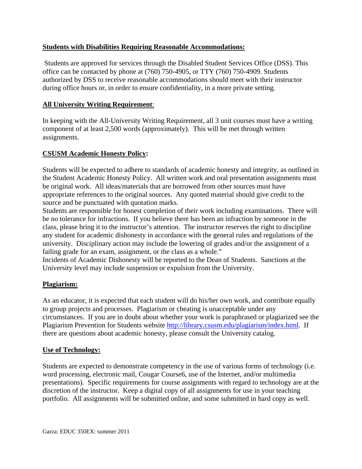# **Students with Disabilities Requiring Reasonable Accommodations:**

Students are approved for services through the Disabled Student Services Office (DSS). This office can be contacted by phone at (760) 750-4905, or TTY (760) 750-4909. Students authorized by DSS to receive reasonable accommodations should meet with their instructor during office hours or, in order to ensure confidentiality, in a more private setting.

# **All University Writing Requirement:**

**All University Writing Requirement**: In keeping with the All-University Writing Requirement, all 3 unit courses must have a writing component of at least 2,500 words (approximately). This will be met through written assignments.

# **CSUSM Academic Honesty Policy:**

Students will be expected to adhere to standards of academic honesty and integrity, as outlined in the Student Academic Honesty Policy. All written work and oral presentation assignments must be original work. All ideas/materials that are borrowed from other sources must have appropriate references to the original sources. Any quoted material should give credit to the source and be punctuated with quotation marks.

Students are responsible for honest completion of their work including examinations. There will be no tolerance for infractions. If you believe there has been an infraction by someone in the class, please bring it to the instructor's attention. The instructor reserves the right to discipline any student for academic dishonesty in accordance with the general rules and regulations of the university. Disciplinary action may include the lowering of grades and/or the assignment of a failing grade for an exam, assignment, or the class as a whole."

Incidents of Academic Dishonesty will be reported to the Dean of Students. Sanctions at the University level may include suspension or expulsion from the University.

# **Plagiarism:**

As an educator, it is expected that each student will do his/her own work, and contribute equally to group projects and processes. Plagiarism or cheating is unacceptable under any circumstances. If you are in doubt about whether your work is paraphrased or plagiarized see the Plagiarism Prevention for Students website http://library.csusm.edu/plagiarism/index.html. If there are questions about academic honesty, please consult the University catalog.

# **Use of Technology:**

Students are expected to demonstrate competency in the use of various forms of technology (i.e. word processing, electronic mail, Cougar Course6, use of the Internet, and/or multimedia presentations). Specific requirements for course assignments with regard to technology are at the discretion of the instructor. Keep a digital copy of all assignments for use in your teaching portfolio. All assignments will be submitted online, and some submitted in hard copy as well.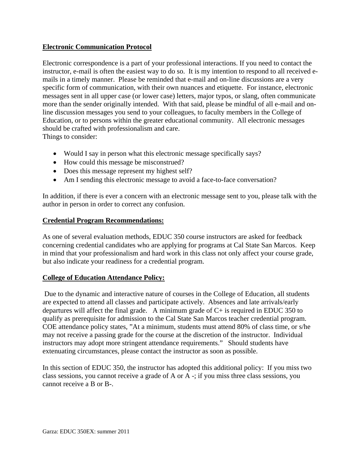# **Electronic Communication Protocol**

Electronic correspondence is a part of your professional interactions. If you need to contact the instructor, e-mail is often the easiest way to do so. It is my intention to respond to all received emails in a timely manner. Please be reminded that e-mail and on-line discussions are a very specific form of communication, with their own nuances and etiquette. For instance, electronic messages sent in all upper case (or lower case) letters, major typos, or slang, often communicate more than the sender originally intended. With that said, please be mindful of all e-mail and online discussion messages you send to your colleagues, to faculty members in the College of Education, or to persons within the greater educational community. All electronic messages should be crafted with professionalism and care. Things to consider:

- Would I say in person what this electronic message specifically says?
- How could this message be misconstrued?
- Does this message represent my highest self?
- Am I sending this electronic message to avoid a face-to-face conversation?

In addition, if there is ever a concern with an electronic message sent to you, please talk with the author in person in order to correct any confusion.

### **Credential Program Recommendations:**

As one of several evaluation methods, EDUC 350 course instructors are asked for feedback concerning credential candidates who are applying for programs at Cal State San Marcos. Keep in mind that your professionalism and hard work in this class not only affect your course grade, but also indicate your readiness for a credential program.

# **College of Education Attendance Policy:**

 Due to the dynamic and interactive nature of courses in the College of Education, all students are expected to attend all classes and participate actively. Absences and late arrivals/early departures will affect the final grade. A minimum grade of  $C<sub>+</sub>$  is required in EDUC 350 to qualify as prerequisite for admission to the Cal State San Marcos teacher credential program. COE attendance policy states, "At a minimum, students must attend 80% of class time, or s/he may not receive a passing grade for the course at the discretion of the instructor. Individual instructors may adopt more stringent attendance requirements." Should students have extenuating circumstances, please contact the instructor as soon as possible.

In this section of EDUC 350, the instructor has adopted this additional policy: If you miss two class sessions, you cannot receive a grade of A or A -; if you miss three class sessions, you cannot receive a B or B-.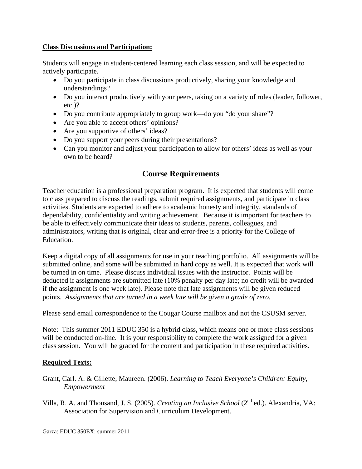### **Class Discussions and Participation:**

Students will engage in student-centered learning each class session, and will be expected to actively participate.

- Do you participate in class discussions productively, sharing your knowledge and understandings?
- Do you interact productively with your peers, taking on a variety of roles (leader, follower, etc.)?
- Do you contribute appropriately to group work—do you "do your share"?
- Are you able to accept others' opinions?
- Are you supportive of others' ideas?
- Do you support your peers during their presentations?
- Can you monitor and adjust your participation to allow for others' ideas as well as your own to be heard?

# **Course Requirements**

Teacher education is a professional preparation program. It is expected that students will come to class prepared to discuss the readings, submit required assignments, and participate in class activities. Students are expected to adhere to academic honesty and integrity, standards of dependability, confidentiality and writing achievement. Because it is important for teachers to be able to effectively communicate their ideas to students, parents, colleagues, and administrators, writing that is original, clear and error-free is a priority for the College of Education.

Keep a digital copy of all assignments for use in your teaching portfolio. All assignments will be submitted online, and some will be submitted in hard copy as well. It is expected that work will be turned in on time. Please discuss individual issues with the instructor. Points will be deducted if assignments are submitted late (10% penalty per day late; no credit will be awarded if the assignment is one week late). Please note that late assignments will be given reduced points. *Assignments that are turned in a week late will be given a grade of zero.* 

Please send email correspondence to the Cougar Course mailbox and not the CSUSM server.

Note: This summer 2011 EDUC 350 is a hybrid class, which means one or more class sessions will be conducted on-line. It is your responsibility to complete the work assigned for a given class session. You will be graded for the content and participation in these required activities.

# **Required Texts:**

- Grant, Carl. A. & Gillette, Maureen. (2006). *Learning to Teach Everyone's Children: Equity, Empowerment*
- Villa, R. A. and Thousand, J. S. (2005). *Creating an Inclusive School* (2nd ed.). Alexandria, VA: Association for Supervision and Curriculum Development.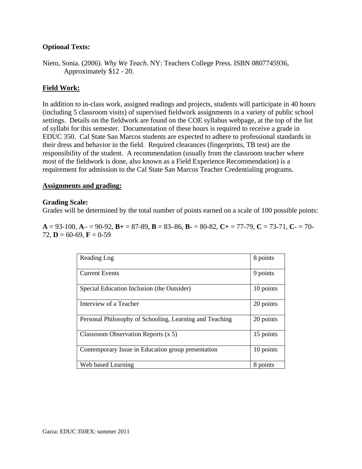### **Optional Texts:**

Nieto, Sonia. (2006). *Why We Teach*. NY: Teachers College Press. ISBN 0807745936, Approximately \$12 - 20.

### **Field Work:**

In addition to in-class work, assigned readings and projects, students will participate in 40 hours (including 5 classroom visits) of supervised fieldwork assignments in a variety of public school settings. Details on the fieldwork are found on the COE syllabus webpage, at the top of the list of syllabi for this semester. Documentation of these hours is required to receive a grade in EDUC 350. Cal State San Marcos students are expected to adhere to professional standards in their dress and behavior in the field. Required clearances (fingerprints, TB test) are the responsibility of the student. A recommendation (usually from the classroom teacher where most of the fieldwork is done, also known as a Field Experience Recommendation) is a requirement for admission to the Cal State San Marcos Teacher Credentialing programs.

#### **Assignments and grading:**

#### **Grading Scale:**

Grades will be determined by the total number of points earned on a scale of 100 possible points:

**A** = 93-100, **A**– = 90-92, **B+** = 87-89, **B** = 83–86, **B**- = 80-82, **C+** = 77-79, **C** = 73-71, **C**- = 70- 72,  $\mathbf{D} = 60 - 69$ ,  $\mathbf{F} = 0 - 59$ 

| Reading Log                                             | 8 points  |
|---------------------------------------------------------|-----------|
| <b>Current Events</b>                                   | 9 points  |
| Special Education Inclusion (the Outsider)              | 10 points |
| Interview of a Teacher                                  | 20 points |
| Personal Philosophy of Schooling, Learning and Teaching | 20 points |
| Classroom Observation Reports $(x 5)$                   | 15 points |
| Contemporary Issue in Education group presentation      | 10 points |
| Web based Learning                                      | 8 points  |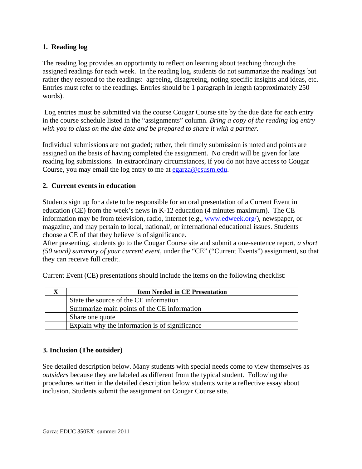# **1. Reading log**

The reading log provides an opportunity to reflect on learning about teaching through the assigned readings for each week. In the reading log, students do not summarize the readings but rather they respond to the readings: agreeing, disagreeing, noting specific insights and ideas, etc. Entries must refer to the readings. Entries should be 1 paragraph in length (approximately 250 words).

 Log entries must be submitted via the course Cougar Course site by the due date for each entry in the course schedule listed in the "assignments" column. *Bring a copy of the reading log entry with you to class on the due date and be prepared to share it with a partner.* 

Individual submissions are not graded; rather, their timely submission is noted and points are assigned on the basis of having completed the assignment. No credit will be given for late reading log submissions. In extraordinary circumstances, if you do not have access to Cougar Course, you may email the log entry to me at egarza@csusm.edu.

# **2. Current events in education**

Students sign up for a date to be responsible for an oral presentation of a Current Event in education (CE) from the week's news in K-12 education (4 minutes maximum). The CE information may be from television, radio, internet (e.g., www.edweek.org/), newspaper, or magazine, and may pertain to local, national/, or international educational issues. Students choose a CE of that they believe is of significance.

After presenting, students go to the Cougar Course site and submit a one-sentence report, *a short (50 word) summary of your current event,* under the "CE" ("Current Events") assignment, so that they can receive full credit.

| <b>Item Needed in CE Presentation</b>          |  |
|------------------------------------------------|--|
| State the source of the CE information         |  |
| Summarize main points of the CE information    |  |
| Share one quote                                |  |
| Explain why the information is of significance |  |

Current Event (CE) presentations should include the items on the following checklist:

# **3. Inclusion (The outsider)**

See detailed description below. Many students with special needs come to view themselves as *outsiders* because they are labeled as different from the typical student. Following the procedures written in the detailed description below students write a reflective essay about inclusion. Students submit the assignment on Cougar Course site.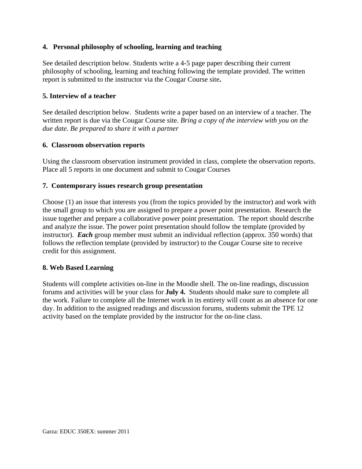### **4. Personal philosophy of schooling, learning and teaching**

See detailed description below. Students write a 4-5 page paper describing their current philosophy of schooling, learning and teaching following the template provided. The written report is submitted to the instructor via the Cougar Course site**.** 

#### **5. Interview of a teacher**

See detailed description below. Students write a paper based on an interview of a teacher. The written report is due via the Cougar Course site. *Bring a copy of the interview with you on the due date. Be prepared to share it with a partner* 

#### **6. Classroom observation reports**

Using the classroom observation instrument provided in class, complete the observation reports. Place all 5 reports in one document and submit to Cougar Courses

#### **7. Contemporary issues research group presentation**

Choose (1) an issue that interests you (from the topics provided by the instructor) and work with the small group to which you are assigned to prepare a power point presentation. Research the issue together and prepare a collaborative power point presentation. The report should describe and analyze the issue. The power point presentation should follow the template (provided by instructor). *Each* group member must submit an individual reflection (approx. 350 words) that follows the reflection template (provided by instructor) to the Cougar Course site to receive credit for this assignment.

#### **8. Web Based Learning**

Students will complete activities on-line in the Moodle shell. The on-line readings, discussion forums and activities will be your class for **July 4.** Students should make sure to complete all the work. Failure to complete all the Internet work in its entirety will count as an absence for one day. In addition to the assigned readings and discussion forums, students submit the TPE 12 activity based on the template provided by the instructor for the on-line class.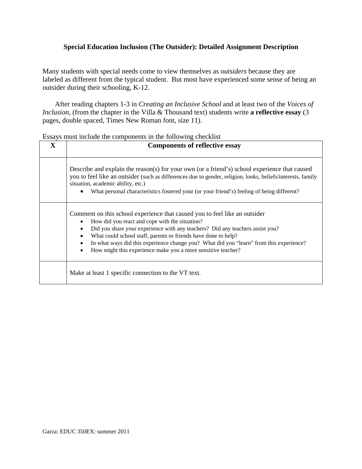# **Special Education Inclusion (The Outsider): Detailed Assignment Description**

Many students with special needs come to view themselves as *outsiders* because they are labeled as different from the typical student. But most have experienced some sense of being an outsider during their schooling, K-12.

After reading chapters 1-3 in *Creating an Inclusive School* and at least two of the *Voices of Inclusion*, (from the chapter in the Villa & Thousand text) students write **a reflective essay** (3) pages, double spaced, Times New Roman font, size 11).

| ESSAYS must include the components in the following checkilst |                                                                                                                                                                                                                                                                                                                                                                                                                                                         |  |  |  |
|---------------------------------------------------------------|---------------------------------------------------------------------------------------------------------------------------------------------------------------------------------------------------------------------------------------------------------------------------------------------------------------------------------------------------------------------------------------------------------------------------------------------------------|--|--|--|
| $\mathbf X$                                                   | <b>Components of reflective essay</b>                                                                                                                                                                                                                                                                                                                                                                                                                   |  |  |  |
|                                                               | Describe and explain the reason(s) for your own (or a friend's) school experience that caused<br>you to feel like an outsider (such as differences due to gender, religion, looks, beliefs/interests, family<br>situation, academic ability, etc.)<br>What personal characteristics fostered your (or your friend's) feeling of being different?                                                                                                        |  |  |  |
|                                                               | Comment on this school experience that caused you to feel like an outsider<br>How did you react and cope with the situation?<br>Did you share your experience with any teachers? Did any teachers assist you?<br>What could school staff, parents or friends have done to help?<br>In what ways did this experience change you? What did you "learn" from this experience?<br>How might this experience make you a more sensitive teacher?<br>$\bullet$ |  |  |  |
|                                                               | Make at least 1 specific connection to the VT text.                                                                                                                                                                                                                                                                                                                                                                                                     |  |  |  |

Essays must include the components in the following checklist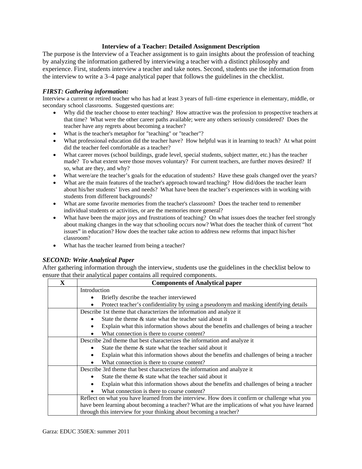#### **Interview of a Teacher: Detailed Assignment Description**

The purpose is the Interview of a Teacher assignment is to gain insights about the profession of teaching by analyzing the information gathered by interviewing a teacher with a distinct philosophy and experience. First, students interview a teacher and take notes. Second, students use the information from the interview to write a 3–4 page analytical paper that follows the guidelines in the checklist.

#### *FIRST: Gathering information:*

 secondary school classrooms. Suggested questions are: Interview a current or retired teacher who has had at least 3 years of full–time experience in elementary, middle, or

- Why did the teacher choose to enter teaching? How attractive was the profession to prospective teachers at that time? What were the other career paths available; were any others seriously considered? Does the teacher have any regrets about becoming a teacher?
- What is the teacher's metaphor for "teaching" or "teacher"?
- What professional education did the teacher have? How helpful was it in learning to teach? At what point did the teacher feel comfortable as a teacher?
- made? To what extent were those moves voluntary? For current teachers, are further moves desired? If What career moves (school buildings, grade level, special students, subject matter, etc.) has the teacher so, what are they, and why?
- What were/are the teacher's goals for the education of students? Have these goals changed over the years?
- about his/her students' lives and needs? What have been the teacher's experiences with in working with students from different backgrounds? What are the main features of the teacher's approach toward teaching? How did/does the teacher learn
- individual students or activities, or are the memories more general? What are some favorite memories from the teacher's classroom? Does the teacher tend to remember
- What have been the major joys and frustrations of teaching? On what issues does the teacher feel strongly about making changes in the way that schooling occurs now? What does the teacher think of current "hot issues" in education? How does the teacher take action to address new reforms that impact his/her classroom?
- What has the teacher learned from being a teacher?

#### *SECOND: Write Analytical Paper*

After gathering information through the interview, students use the guidelines in the checklist below to ensure that their analytical paper contains all required components.

| $\mathbf{x}$ | <b>Components of Analytical paper</b>                                                                                                                                                             |  |  |  |
|--------------|---------------------------------------------------------------------------------------------------------------------------------------------------------------------------------------------------|--|--|--|
|              | Introduction                                                                                                                                                                                      |  |  |  |
|              | Briefly describe the teacher interviewed<br>٠                                                                                                                                                     |  |  |  |
|              | Protect teacher's confidentiality by using a pseudonym and masking identifying details                                                                                                            |  |  |  |
|              | Describe 1st theme that characterizes the information and analyze it                                                                                                                              |  |  |  |
|              | State the theme & state what the teacher said about it                                                                                                                                            |  |  |  |
|              | Explain what this information shows about the benefits and challenges of being a teacher<br>٠                                                                                                     |  |  |  |
|              | What connection is there to course content?                                                                                                                                                       |  |  |  |
|              | Describe 2nd theme that best characterizes the information and analyze it                                                                                                                         |  |  |  |
|              | State the theme & state what the teacher said about it                                                                                                                                            |  |  |  |
|              | Explain what this information shows about the benefits and challenges of being a teacher<br>٠                                                                                                     |  |  |  |
|              | What connection is there to course content?                                                                                                                                                       |  |  |  |
|              | Describe 3rd theme that best characterizes the information and analyze it                                                                                                                         |  |  |  |
|              | State the theme $\&$ state what the teacher said about it                                                                                                                                         |  |  |  |
|              | Explain what this information shows about the benefits and challenges of being a teacher                                                                                                          |  |  |  |
|              | What connection is there to course content?                                                                                                                                                       |  |  |  |
|              | Reflect on what you have learned from the interview. How does it confirm or challenge what you<br>have been learning about becoming a teacher? What are the implications of what you have learned |  |  |  |
|              |                                                                                                                                                                                                   |  |  |  |
|              | through this interview for your thinking about becoming a teacher?                                                                                                                                |  |  |  |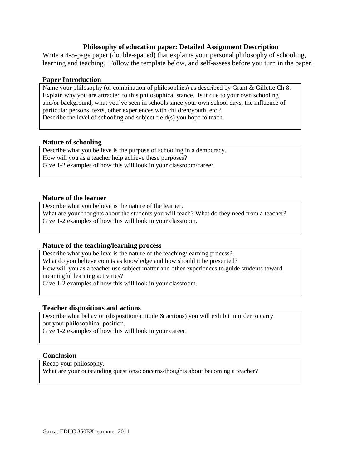#### **Philosophy of education paper: Detailed Assignment Description**

Write a 4-5-page paper (double-spaced) that explains your personal philosophy of schooling, learning and teaching. Follow the template below, and self-assess before you turn in the paper.

#### **Paper Introduction**

Name your philosophy (or combination of philosophies) as described by Grant & Gillette Ch 8. Explain why you are attracted to this philosophical stance. Is it due to your own schooling and/or background, what you've seen in schools since your own school days, the influence of particular persons, texts, other experiences with children/youth, etc.? Describe the level of schooling and subject field(s) you hope to teach.

#### **Nature of schooling**

Describe what you believe is the purpose of schooling in a democracy. How will you as a teacher help achieve these purposes? Give 1-2 examples of how this will look in your classroom/career.

#### **Nature of the learner**

Describe what you believe is the nature of the learner. What are your thoughts about the students you will teach? What do they need from a teacher? Give 1-2 examples of how this will look in your classroom.

#### **Nature of the teaching/learning process**

 meaningful learning activities? Describe what you believe is the nature of the teaching/learning process?. What do you believe counts as knowledge and how should it be presented? How will you as a teacher use subject matter and other experiences to guide students toward Give 1-2 examples of how this will look in your classroom.

#### **Teacher dispositions and actions**

 Describe what behavior (disposition/attitude & actions) you will exhibit in order to carry out your philosophical position.

Give 1-2 examples of how this will look in your career.

#### **Conclusion**

Recap your philosophy.

What are your outstanding questions/concerns/thoughts about becoming a teacher?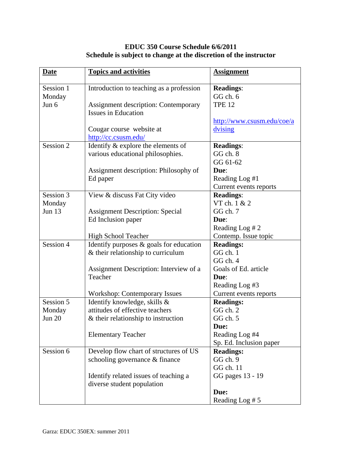# **EDUC 350 Course Schedule 6/6/2011 Schedule is subject to change at the discretion of the instructor**

| <b>Date</b>   | <b>Topics and activities</b>                | <b>Assignment</b>          |
|---------------|---------------------------------------------|----------------------------|
| Session 1     | Introduction to teaching as a profession    | <b>Readings:</b>           |
| Monday        |                                             | GG ch. 6                   |
| Jun 6         | <b>Assignment description: Contemporary</b> | <b>TPE 12</b>              |
|               | <b>Issues in Education</b>                  |                            |
|               |                                             | http://www.csusm.edu/coe/a |
|               | Cougar course website at                    | dvising                    |
|               | http://cc.csusm.edu/                        |                            |
| Session 2     | Identify & explore the elements of          | <b>Readings:</b>           |
|               | various educational philosophies.           | GG ch. 8                   |
|               |                                             | GG 61-62                   |
|               | Assignment description: Philosophy of       | Due:                       |
|               | Ed paper                                    | Reading Log #1             |
|               |                                             | Current events reports     |
| Session 3     | View & discuss Fat City video               | <b>Readings:</b>           |
| Monday        |                                             | VT ch. 1 & 2               |
| <b>Jun 13</b> | <b>Assignment Description: Special</b>      | GG ch. 7                   |
|               | Ed Inclusion paper                          | Due:                       |
|               |                                             | Reading Log #2             |
|               | <b>High School Teacher</b>                  | Contemp. Issue topic       |
| Session 4     | Identify purposes $\&$ goals for education  | <b>Readings:</b>           |
|               | $&$ their relationship to curriculum        | GG ch. 1                   |
|               |                                             | GGch.4                     |
|               | Assignment Description: Interview of a      | Goals of Ed. article       |
|               | Teacher                                     | Due:                       |
|               |                                             | Reading Log #3             |
|               | <b>Workshop: Contemporary Issues</b>        | Current events reports     |
| Session 5     | Identify knowledge, skills &                | <b>Readings:</b>           |
| Monday        | attitudes of effective teachers             | GG ch. 2                   |
| <b>Jun 20</b> | & their relationship to instruction         | GG ch. 5                   |
|               |                                             | Due:                       |
|               | <b>Elementary Teacher</b>                   | Reading Log #4             |
|               |                                             | Sp. Ed. Inclusion paper    |
| Session 6     | Develop flow chart of structures of US      | <b>Readings:</b>           |
|               | schooling governance & finance              | GG ch. 9                   |
|               |                                             | GG ch. 11                  |
|               | Identify related issues of teaching a       | GG pages 13 - 19           |
|               | diverse student population                  |                            |
|               |                                             | Due:                       |
|               |                                             | Reading Log #5             |